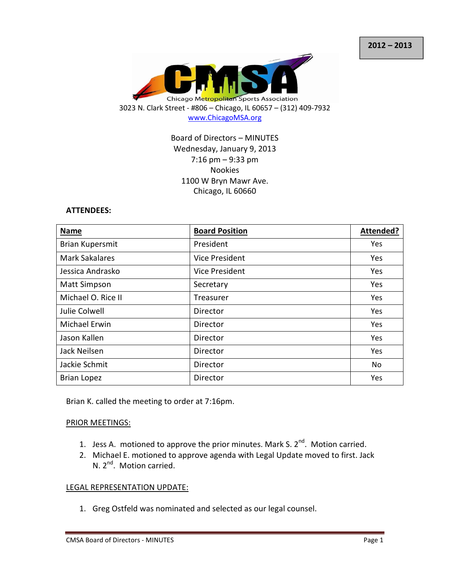

## Board of Directors – MINUTES Wednesday, January 9, 2013 7:16 pm – 9:33 pm Nookies 1100 W Bryn Mawr Ave. Chicago, IL 60660

#### ATTENDEES:

| <b>Name</b>            | <b>Board Position</b> | Attended?  |
|------------------------|-----------------------|------------|
| <b>Brian Kupersmit</b> | President             | Yes        |
| <b>Mark Sakalares</b>  | Vice President        | Yes        |
| Jessica Andrasko       | Vice President        | Yes        |
| <b>Matt Simpson</b>    | Secretary             | Yes        |
| Michael O. Rice II     | Treasurer             | Yes        |
| Julie Colwell          | Director              | Yes        |
| Michael Erwin          | Director              | Yes        |
| Jason Kallen           | Director              | <b>Yes</b> |
| Jack Neilsen           | Director              | Yes        |
| Jackie Schmit          | Director              | No         |
| <b>Brian Lopez</b>     | Director              | Yes        |

Brian K. called the meeting to order at 7:16pm.

#### PRIOR MEETINGS:

- 1. Jess A. motioned to approve the prior minutes. Mark S.  $2^{nd}$ . Motion carried.
- 2. Michael E. motioned to approve agenda with Legal Update moved to first. Jack N. 2<sup>nd</sup>. Motion carried.

#### LEGAL REPRESENTATION UPDATE:

1. Greg Ostfeld was nominated and selected as our legal counsel.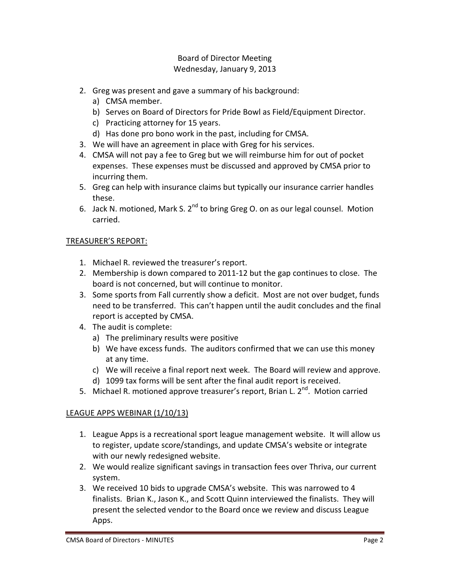- 2. Greg was present and gave a summary of his background:
	- a) CMSA member.
	- b) Serves on Board of Directors for Pride Bowl as Field/Equipment Director.
	- c) Practicing attorney for 15 years.
	- d) Has done pro bono work in the past, including for CMSA.
- 3. We will have an agreement in place with Greg for his services.
- 4. CMSA will not pay a fee to Greg but we will reimburse him for out of pocket expenses. These expenses must be discussed and approved by CMSA prior to incurring them.
- 5. Greg can help with insurance claims but typically our insurance carrier handles these.
- 6. Jack N. motioned, Mark S. 2<sup>nd</sup> to bring Greg O. on as our legal counsel. Motion carried.

## TREASURER'S REPORT:

- 1. Michael R. reviewed the treasurer's report.
- 2. Membership is down compared to 2011-12 but the gap continues to close. The board is not concerned, but will continue to monitor.
- 3. Some sports from Fall currently show a deficit. Most are not over budget, funds need to be transferred. This can't happen until the audit concludes and the final report is accepted by CMSA.
- 4. The audit is complete:
	- a) The preliminary results were positive
	- b) We have excess funds. The auditors confirmed that we can use this money at any time.
	- c) We will receive a final report next week. The Board will review and approve.
	- d) 1099 tax forms will be sent after the final audit report is received.
- 5. Michael R. motioned approve treasurer's report, Brian L. 2<sup>nd</sup>. Motion carried

## LEAGUE APPS WEBINAR (1/10/13)

- 1. League Apps is a recreational sport league management website. It will allow us to register, update score/standings, and update CMSA's website or integrate with our newly redesigned website.
- 2. We would realize significant savings in transaction fees over Thriva, our current system.
- 3. We received 10 bids to upgrade CMSA's website. This was narrowed to 4 finalists. Brian K., Jason K., and Scott Quinn interviewed the finalists. They will present the selected vendor to the Board once we review and discuss League Apps.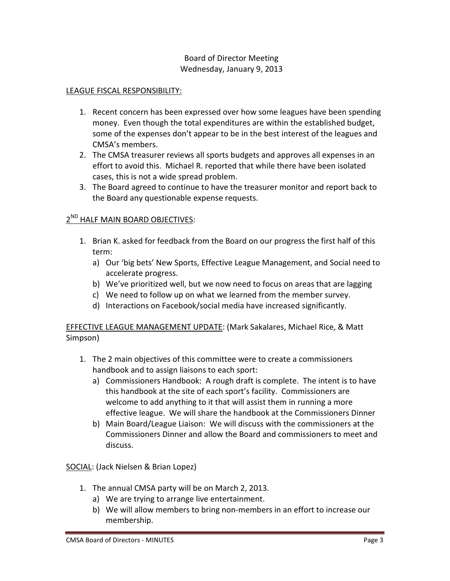## LEAGUE FISCAL RESPONSIBILITY:

- 1. Recent concern has been expressed over how some leagues have been spending money. Even though the total expenditures are within the established budget, some of the expenses don't appear to be in the best interest of the leagues and CMSA's members.
- 2. The CMSA treasurer reviews all sports budgets and approves all expenses in an effort to avoid this. Michael R. reported that while there have been isolated cases, this is not a wide spread problem.
- 3. The Board agreed to continue to have the treasurer monitor and report back to the Board any questionable expense requests.

## 2<sup>ND</sup> HALF MAIN BOARD OBJECTIVES:

- 1. Brian K. asked for feedback from the Board on our progress the first half of this term:
	- a) Our 'big bets' New Sports, Effective League Management, and Social need to accelerate progress.
	- b) We've prioritized well, but we now need to focus on areas that are lagging
	- c) We need to follow up on what we learned from the member survey.
	- d) Interactions on Facebook/social media have increased significantly.

EFFECTIVE LEAGUE MANAGEMENT UPDATE: (Mark Sakalares, Michael Rice, & Matt Simpson)

- 1. The 2 main objectives of this committee were to create a commissioners handbook and to assign liaisons to each sport:
	- a) Commissioners Handbook: A rough draft is complete. The intent is to have this handbook at the site of each sport's facility. Commissioners are welcome to add anything to it that will assist them in running a more effective league. We will share the handbook at the Commissioners Dinner
	- b) Main Board/League Liaison: We will discuss with the commissioners at the Commissioners Dinner and allow the Board and commissioners to meet and discuss.

SOCIAL: (Jack Nielsen & Brian Lopez)

- 1. The annual CMSA party will be on March 2, 2013.
	- a) We are trying to arrange live entertainment.
	- b) We will allow members to bring non-members in an effort to increase our membership.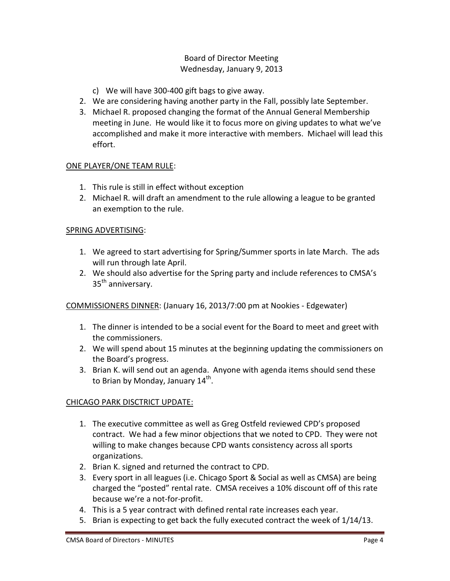- c) We will have 300-400 gift bags to give away.
- 2. We are considering having another party in the Fall, possibly late September.
- 3. Michael R. proposed changing the format of the Annual General Membership meeting in June. He would like it to focus more on giving updates to what we've accomplished and make it more interactive with members. Michael will lead this effort.

## ONE PLAYER/ONE TEAM RULE:

- 1. This rule is still in effect without exception
- 2. Michael R. will draft an amendment to the rule allowing a league to be granted an exemption to the rule.

## SPRING ADVERTISING:

- 1. We agreed to start advertising for Spring/Summer sports in late March. The ads will run through late April.
- 2. We should also advertise for the Spring party and include references to CMSA's 35<sup>th</sup> anniversary.

COMMISSIONERS DINNER: (January 16, 2013/7:00 pm at Nookies - Edgewater)

- 1. The dinner is intended to be a social event for the Board to meet and greet with the commissioners.
- 2. We will spend about 15 minutes at the beginning updating the commissioners on the Board's progress.
- 3. Brian K. will send out an agenda. Anyone with agenda items should send these to Brian by Monday, January 14<sup>th</sup>.

# CHICAGO PARK DISCTRICT UPDATE:

- 1. The executive committee as well as Greg Ostfeld reviewed CPD's proposed contract. We had a few minor objections that we noted to CPD. They were not willing to make changes because CPD wants consistency across all sports organizations.
- 2. Brian K. signed and returned the contract to CPD.
- 3. Every sport in all leagues (i.e. Chicago Sport & Social as well as CMSA) are being charged the "posted" rental rate. CMSA receives a 10% discount off of this rate because we're a not-for-profit.
- 4. This is a 5 year contract with defined rental rate increases each year.
- 5. Brian is expecting to get back the fully executed contract the week of 1/14/13.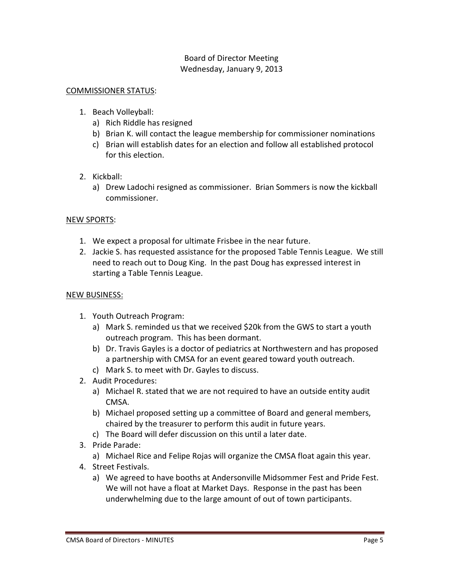### COMMISSIONER STATUS:

- 1. Beach Volleyball:
	- a) Rich Riddle has resigned
	- b) Brian K. will contact the league membership for commissioner nominations
	- c) Brian will establish dates for an election and follow all established protocol for this election.
- 2. Kickball:
	- a) Drew Ladochi resigned as commissioner. Brian Sommers is now the kickball commissioner.

### NEW SPORTS:

- 1. We expect a proposal for ultimate Frisbee in the near future.
- 2. Jackie S. has requested assistance for the proposed Table Tennis League. We still need to reach out to Doug King. In the past Doug has expressed interest in starting a Table Tennis League.

### NEW BUSINESS:

- 1. Youth Outreach Program:
	- a) Mark S. reminded us that we received \$20k from the GWS to start a youth outreach program. This has been dormant.
	- b) Dr. Travis Gayles is a doctor of pediatrics at Northwestern and has proposed a partnership with CMSA for an event geared toward youth outreach.
	- c) Mark S. to meet with Dr. Gayles to discuss.
- 2. Audit Procedures:
	- a) Michael R. stated that we are not required to have an outside entity audit CMSA.
	- b) Michael proposed setting up a committee of Board and general members, chaired by the treasurer to perform this audit in future years.
	- c) The Board will defer discussion on this until a later date.
- 3. Pride Parade:
	- a) Michael Rice and Felipe Rojas will organize the CMSA float again this year.
- 4. Street Festivals.
	- a) We agreed to have booths at Andersonville Midsommer Fest and Pride Fest. We will not have a float at Market Days. Response in the past has been underwhelming due to the large amount of out of town participants.